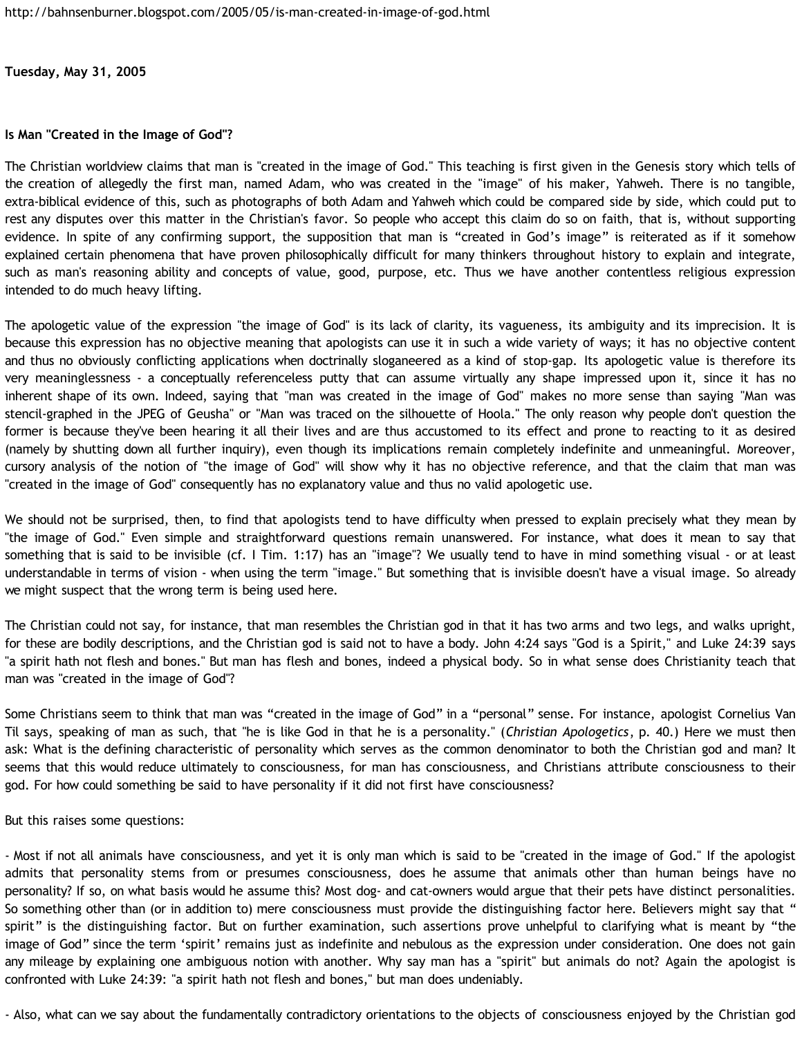**Tuesday, May 31, 2005**

### **Is Man "Created in the Image of God"?**

The Christian worldview claims that man is "created in the image of God." This teaching is first given in the Genesis story which tells of the creation of allegedly the first man, named Adam, who was created in the "image" of his maker, Yahweh. There is no tangible, extra-biblical evidence of this, such as photographs of both Adam and Yahweh which could be compared side by side, which could put to rest any disputes over this matter in the Christian's favor. So people who accept this claim do so on faith, that is, without supporting evidence. In spite of any confirming support, the supposition that man is "created in God's image" is reiterated as if it somehow explained certain phenomena that have proven philosophically difficult for many thinkers throughout history to explain and integrate, such as man's reasoning ability and concepts of value, good, purpose, etc. Thus we have another contentless religious expression intended to do much heavy lifting.

The apologetic value of the expression "the image of God" is its lack of clarity, its vagueness, its ambiguity and its imprecision. It is because this expression has no objective meaning that apologists can use it in such a wide variety of ways; it has no objective content and thus no obviously conflicting applications when doctrinally sloganeered as a kind of stop-gap. Its apologetic value is therefore its very meaninglessness - a conceptually referenceless putty that can assume virtually any shape impressed upon it, since it has no inherent shape of its own. Indeed, saying that "man was created in the image of God" makes no more sense than saying "Man was stencil-graphed in the JPEG of Geusha" or "Man was traced on the silhouette of Hoola." The only reason why people don't question the former is because they've been hearing it all their lives and are thus accustomed to its effect and prone to reacting to it as desired (namely by shutting down all further inquiry), even though its implications remain completely indefinite and unmeaningful. Moreover, cursory analysis of the notion of "the image of God" will show why it has no objective reference, and that the claim that man was "created in the image of God" consequently has no explanatory value and thus no valid apologetic use.

We should not be surprised, then, to find that apologists tend to have difficulty when pressed to explain precisely what they mean by "the image of God." Even simple and straightforward questions remain unanswered. For instance, what does it mean to say that something that is said to be invisible (cf. I Tim. 1:17) has an "image"? We usually tend to have in mind something visual - or at least understandable in terms of vision - when using the term "image." But something that is invisible doesn't have a visual image. So already we might suspect that the wrong term is being used here.

The Christian could not say, for instance, that man resembles the Christian god in that it has two arms and two legs, and walks upright, for these are bodily descriptions, and the Christian god is said not to have a body. John 4:24 says "God is a Spirit," and Luke 24:39 says "a spirit hath not flesh and bones." But man has flesh and bones, indeed a physical body. So in what sense does Christianity teach that man was "created in the image of God"?

Some Christians seem to think that man was "created in the image of God" in a "personal" sense. For instance, apologist Cornelius Van Til says, speaking of man as such, that "he is like God in that he is a personality." (*Christian Apologetics*, p. 40.) Here we must then ask: What is the defining characteristic of personality which serves as the common denominator to both the Christian god and man? It seems that this would reduce ultimately to consciousness, for man has consciousness, and Christians attribute consciousness to their god. For how could something be said to have personality if it did not first have consciousness?

But this raises some questions:

- Most if not all animals have consciousness, and yet it is only man which is said to be "created in the image of God." If the apologist admits that personality stems from or presumes consciousness, does he assume that animals other than human beings have no personality? If so, on what basis would he assume this? Most dog- and cat-owners would argue that their pets have distinct personalities. So something other than (or in addition to) mere consciousness must provide the distinguishing factor here. Believers might say that " spirit" is the distinguishing factor. But on further examination, such assertions prove unhelpful to clarifying what is meant by "the image of God" since the term 'spirit' remains just as indefinite and nebulous as the expression under consideration. One does not gain any mileage by explaining one ambiguous notion with another. Why say man has a "spirit" but animals do not? Again the apologist is confronted with Luke 24:39: "a spirit hath not flesh and bones," but man does undeniably.

- Also, what can we say about the fundamentally contradictory orientations to the objects of consciousness enjoyed by the Christian god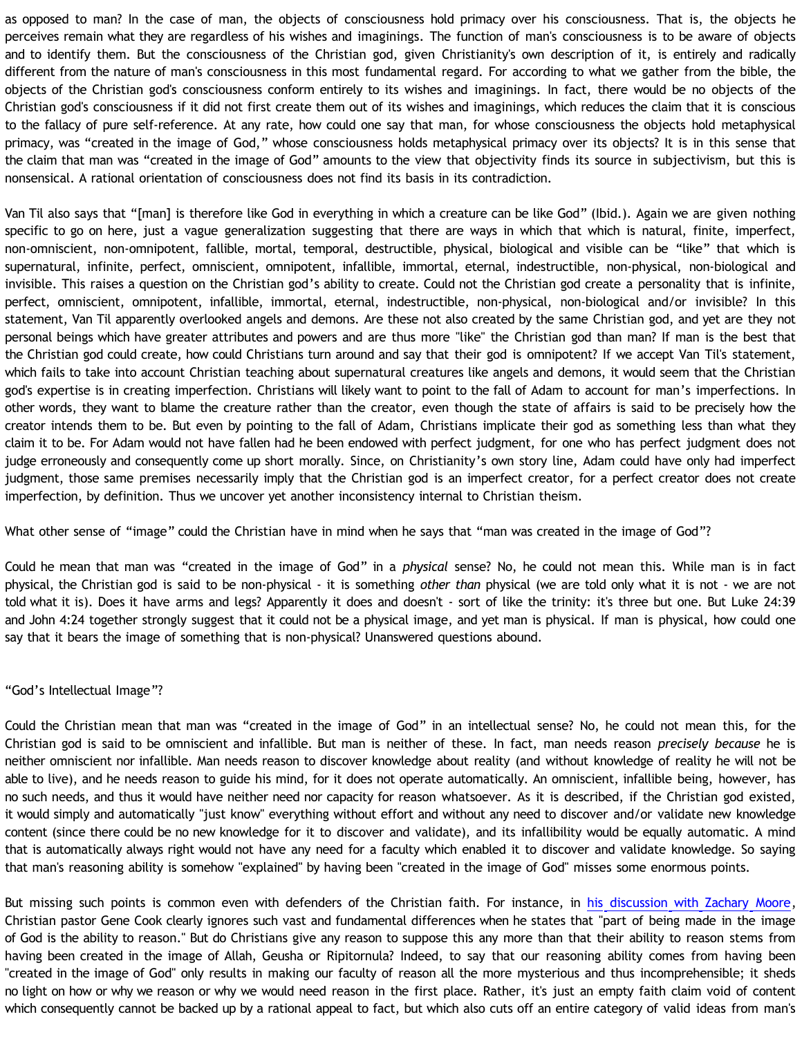as opposed to man? In the case of man, the objects of consciousness hold primacy over his consciousness. That is, the objects he perceives remain what they are regardless of his wishes and imaginings. The function of man's consciousness is to be aware of objects and to identify them. But the consciousness of the Christian god, given Christianity's own description of it, is entirely and radically different from the nature of man's consciousness in this most fundamental regard. For according to what we gather from the bible, the objects of the Christian god's consciousness conform entirely to its wishes and imaginings. In fact, there would be no objects of the Christian god's consciousness if it did not first create them out of its wishes and imaginings, which reduces the claim that it is conscious to the fallacy of pure self-reference. At any rate, how could one say that man, for whose consciousness the objects hold metaphysical primacy, was "created in the image of God," whose consciousness holds metaphysical primacy over its objects? It is in this sense that the claim that man was "created in the image of God" amounts to the view that objectivity finds its source in subjectivism, but this is nonsensical. A rational orientation of consciousness does not find its basis in its contradiction.

Van Til also says that "[man] is therefore like God in everything in which a creature can be like God" (Ibid.). Again we are given nothing specific to go on here, just a vague generalization suggesting that there are ways in which that which is natural, finite, imperfect, non-omniscient, non-omnipotent, fallible, mortal, temporal, destructible, physical, biological and visible can be "like" that which is supernatural, infinite, perfect, omniscient, omnipotent, infallible, immortal, eternal, indestructible, non-physical, non-biological and invisible. This raises a question on the Christian god's ability to create. Could not the Christian god create a personality that is infinite, perfect, omniscient, omnipotent, infallible, immortal, eternal, indestructible, non-physical, non-biological and/or invisible? In this statement, Van Til apparently overlooked angels and demons. Are these not also created by the same Christian god, and yet are they not personal beings which have greater attributes and powers and are thus more "like" the Christian god than man? If man is the best that the Christian god could create, how could Christians turn around and say that their god is omnipotent? If we accept Van Til's statement, which fails to take into account Christian teaching about supernatural creatures like angels and demons, it would seem that the Christian god's expertise is in creating imperfection. Christians will likely want to point to the fall of Adam to account for man's imperfections. In other words, they want to blame the creature rather than the creator, even though the state of affairs is said to be precisely how the creator intends them to be. But even by pointing to the fall of Adam, Christians implicate their god as something less than what they claim it to be. For Adam would not have fallen had he been endowed with perfect judgment, for one who has perfect judgment does not judge erroneously and consequently come up short morally. Since, on Christianity's own story line, Adam could have only had imperfect judgment, those same premises necessarily imply that the Christian god is an imperfect creator, for a perfect creator does not create imperfection, by definition. Thus we uncover yet another inconsistency internal to Christian theism.

What other sense of "image" could the Christian have in mind when he says that "man was created in the image of God"?

Could he mean that man was "created in the image of God" in a *physical* sense? No, he could not mean this. While man is in fact physical, the Christian god is said to be non-physical - it is something *other than* physical (we are told only what it is not - we are not told what it is). Does it have arms and legs? Apparently it does and doesn't - sort of like the trinity: it's three but one. But Luke 24:39 and John 4:24 together strongly suggest that it could not be a physical image, and yet man is physical. If man is physical, how could one say that it bears the image of something that is non-physical? Unanswered questions abound.

### "God's Intellectual Image"?

Could the Christian mean that man was "created in the image of God" in an intellectual sense? No, he could not mean this, for the Christian god is said to be omniscient and infallible. But man is neither of these. In fact, man needs reason *precisely because* he is neither omniscient nor infallible. Man needs reason to discover knowledge about reality (and without knowledge of reality he will not be able to live), and he needs reason to guide his mind, for it does not operate automatically. An omniscient, infallible being, however, has no such needs, and thus it would have neither need nor capacity for reason whatsoever. As it is described, if the Christian god existed, it would simply and automatically "just know" everything without effort and without any need to discover and/or validate new knowledge content (since there could be no new knowledge for it to discover and validate), and its infallibility would be equally automatic. A mind that is automatically always right would not have any need for a faculty which enabled it to discover and validate knowledge. So saying that man's reasoning ability is somehow "explained" by having been "created in the image of God" misses some enormous points.

But missing such points is common even with defenders of the Christian faith. For instance, in [his discussion with Zachary Moore](http://www.angelfire.com/oh/imladris/narrowmind/080304.htm), Christian pastor Gene Cook clearly ignores such vast and fundamental differences when he states that "part of being made in the image of God is the ability to reason." But do Christians give any reason to suppose this any more than that their ability to reason stems from having been created in the image of Allah, Geusha or Ripitornula? Indeed, to say that our reasoning ability comes from having been "created in the image of God" only results in making our faculty of reason all the more mysterious and thus incomprehensible; it sheds no light on how or why we reason or why we would need reason in the first place. Rather, it's just an empty faith claim void of content which consequently cannot be backed up by a rational appeal to fact, but which also cuts off an entire category of valid ideas from man's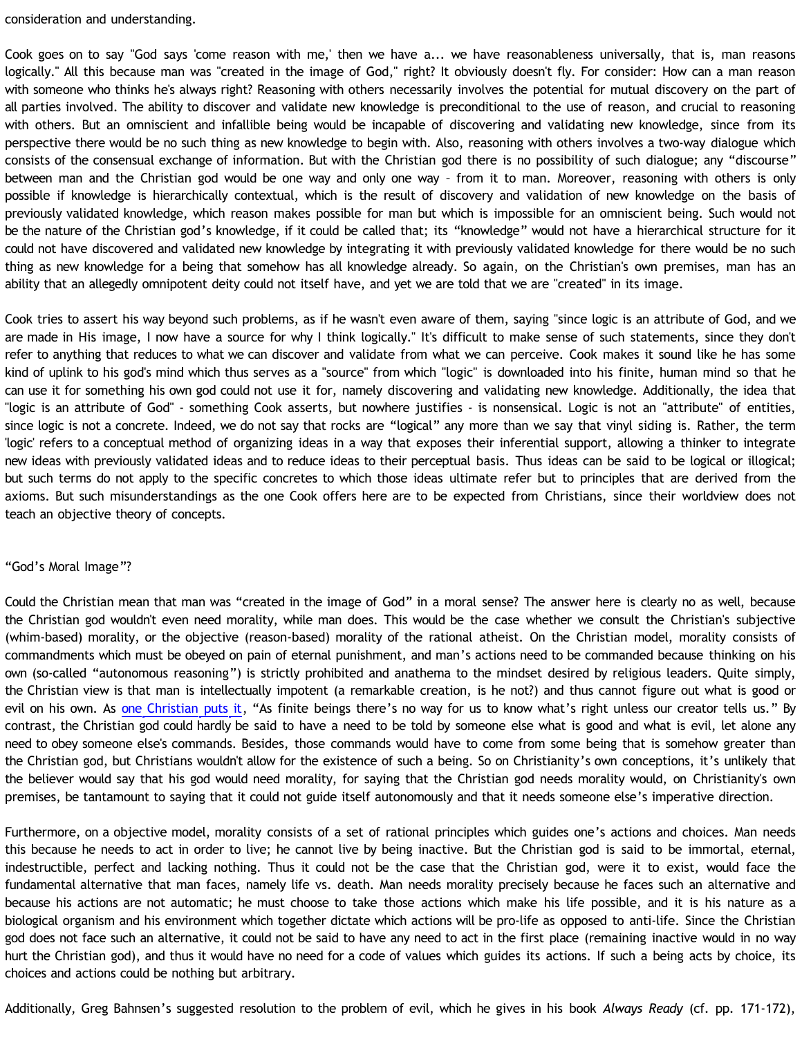consideration and understanding.

Cook goes on to say "God says 'come reason with me,' then we have a... we have reasonableness universally, that is, man reasons logically." All this because man was "created in the image of God," right? It obviously doesn't fly. For consider: How can a man reason with someone who thinks he's always right? Reasoning with others necessarily involves the potential for mutual discovery on the part of all parties involved. The ability to discover and validate new knowledge is preconditional to the use of reason, and crucial to reasoning with others. But an omniscient and infallible being would be incapable of discovering and validating new knowledge, since from its perspective there would be no such thing as new knowledge to begin with. Also, reasoning with others involves a two-way dialogue which consists of the consensual exchange of information. But with the Christian god there is no possibility of such dialogue; any "discourse" between man and the Christian god would be one way and only one way – from it to man. Moreover, reasoning with others is only possible if knowledge is hierarchically contextual, which is the result of discovery and validation of new knowledge on the basis of previously validated knowledge, which reason makes possible for man but which is impossible for an omniscient being. Such would not be the nature of the Christian god's knowledge, if it could be called that; its "knowledge" would not have a hierarchical structure for it could not have discovered and validated new knowledge by integrating it with previously validated knowledge for there would be no such thing as new knowledge for a being that somehow has all knowledge already. So again, on the Christian's own premises, man has an ability that an allegedly omnipotent deity could not itself have, and yet we are told that we are "created" in its image.

Cook tries to assert his way beyond such problems, as if he wasn't even aware of them, saying "since logic is an attribute of God, and we are made in His image, I now have a source for why I think logically." It's difficult to make sense of such statements, since they don't refer to anything that reduces to what we can discover and validate from what we can perceive. Cook makes it sound like he has some kind of uplink to his god's mind which thus serves as a "source" from which "logic" is downloaded into his finite, human mind so that he can use it for something his own god could not use it for, namely discovering and validating new knowledge. Additionally, the idea that "logic is an attribute of God" - something Cook asserts, but nowhere justifies - is nonsensical. Logic is not an "attribute" of entities, since logic is not a concrete. Indeed, we do not say that rocks are "logical" any more than we say that vinyl siding is. Rather, the term 'logic' refers to a conceptual method of organizing ideas in a way that exposes their inferential support, allowing a thinker to integrate new ideas with previously validated ideas and to reduce ideas to their perceptual basis. Thus ideas can be said to be logical or illogical; but such terms do not apply to the specific concretes to which those ideas ultimate refer but to principles that are derived from the axioms. But such misunderstandings as the one Cook offers here are to be expected from Christians, since their worldview does not teach an objective theory of concepts.

### "God's Moral Image"?

Could the Christian mean that man was "created in the image of God" in a moral sense? The answer here is clearly no as well, because the Christian god wouldn't even need morality, while man does. This would be the case whether we consult the Christian's subjective (whim-based) morality, or the objective (reason-based) morality of the rational atheist. On the Christian model, morality consists of commandments which must be obeyed on pain of eternal punishment, and man's actions need to be commanded because thinking on his own (so-called "autonomous reasoning") is strictly prohibited and anathema to the mindset desired by religious leaders. Quite simply, the Christian view is that man is intellectually impotent (a remarkable creation, is he not?) and thus cannot figure out what is good or evil on his own. As [one Christian puts it](http://keithdevens.com/weblog/archive/2004/Mar/24/the-problem-of-evil), "As finite beings there's no way for us to know what's right unless our creator tells us." By contrast, the Christian god could hardly be said to have a need to be told by someone else what is good and what is evil, let alone any need to obey someone else's commands. Besides, those commands would have to come from some being that is somehow greater than the Christian god, but Christians wouldn't allow for the existence of such a being. So on Christianity's own conceptions, it's unlikely that the believer would say that his god would need morality, for saying that the Christian god needs morality would, on Christianity's own premises, be tantamount to saying that it could not guide itself autonomously and that it needs someone else's imperative direction.

Furthermore, on a objective model, morality consists of a set of rational principles which guides one's actions and choices. Man needs this because he needs to act in order to live; he cannot live by being inactive. But the Christian god is said to be immortal, eternal, indestructible, perfect and lacking nothing. Thus it could not be the case that the Christian god, were it to exist, would face the fundamental alternative that man faces, namely life vs. death. Man needs morality precisely because he faces such an alternative and because his actions are not automatic; he must choose to take those actions which make his life possible, and it is his nature as a biological organism and his environment which together dictate which actions will be pro-life as opposed to anti-life. Since the Christian god does not face such an alternative, it could not be said to have any need to act in the first place (remaining inactive would in no way hurt the Christian god), and thus it would have no need for a code of values which guides its actions. If such a being acts by choice, its choices and actions could be nothing but arbitrary.

Additionally, Greg Bahnsen's suggested resolution to the problem of evil, which he gives in his book *Always Ready* (cf. pp. 171-172),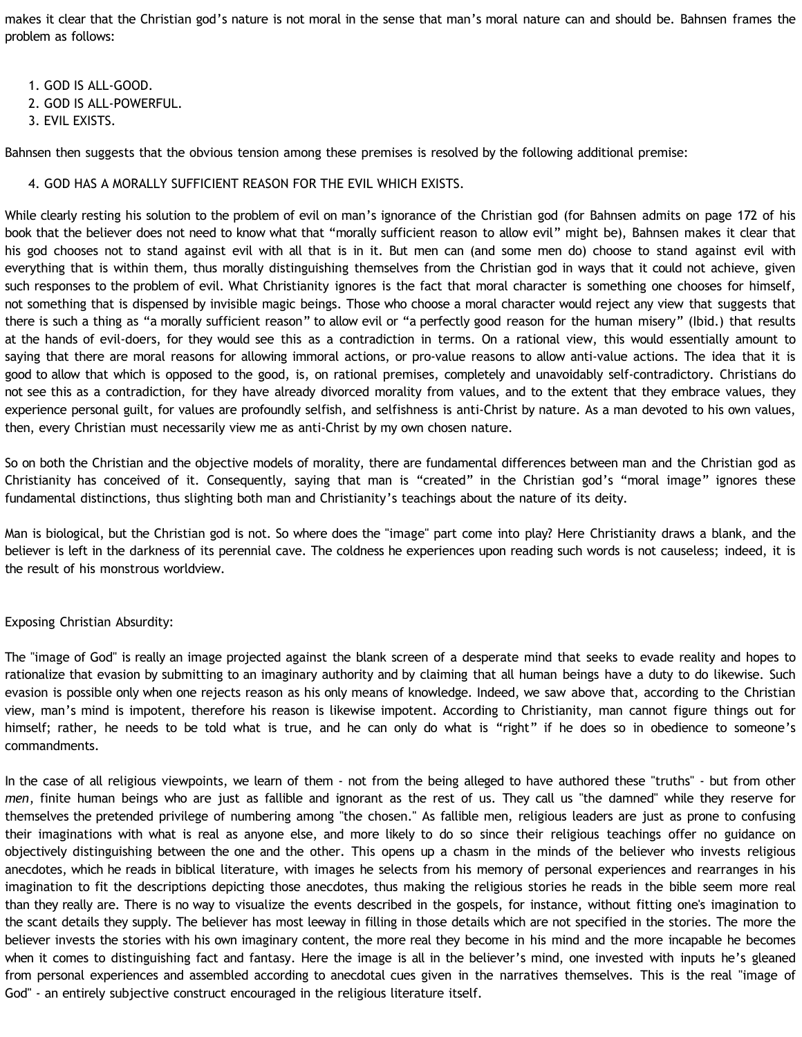makes it clear that the Christian god's nature is not moral in the sense that man's moral nature can and should be. Bahnsen frames the problem as follows:

- 1. GOD IS ALL-GOOD.
- 2. GOD IS ALL-POWERFUL.
- 3. EVIL EXISTS.

Bahnsen then suggests that the obvious tension among these premises is resolved by the following additional premise:

## 4. GOD HAS A MORALLY SUFFICIENT REASON FOR THE EVIL WHICH EXISTS.

While clearly resting his solution to the problem of evil on man's ignorance of the Christian god (for Bahnsen admits on page 172 of his book that the believer does not need to know what that "morally sufficient reason to allow evil" might be), Bahnsen makes it clear that his god chooses not to stand against evil with all that is in it. But men can (and some men do) choose to stand against evil with everything that is within them, thus morally distinguishing themselves from the Christian god in ways that it could not achieve, given such responses to the problem of evil. What Christianity ignores is the fact that moral character is something one chooses for himself, not something that is dispensed by invisible magic beings. Those who choose a moral character would reject any view that suggests that there is such a thing as "a morally sufficient reason" to allow evil or "a perfectly good reason for the human misery" (Ibid.) that results at the hands of evil-doers, for they would see this as a contradiction in terms. On a rational view, this would essentially amount to saying that there are moral reasons for allowing immoral actions, or pro-value reasons to allow anti-value actions. The idea that it is good to allow that which is opposed to the good, is, on rational premises, completely and unavoidably self-contradictory. Christians do not see this as a contradiction, for they have already divorced morality from values, and to the extent that they embrace values, they experience personal guilt, for values are profoundly selfish, and selfishness is anti-Christ by nature. As a man devoted to his own values, then, every Christian must necessarily view me as anti-Christ by my own chosen nature.

So on both the Christian and the objective models of morality, there are fundamental differences between man and the Christian god as Christianity has conceived of it. Consequently, saying that man is "created" in the Christian god's "moral image" ignores these fundamental distinctions, thus slighting both man and Christianity's teachings about the nature of its deity.

Man is biological, but the Christian god is not. So where does the "image" part come into play? Here Christianity draws a blank, and the believer is left in the darkness of its perennial cave. The coldness he experiences upon reading such words is not causeless; indeed, it is the result of his monstrous worldview.

# Exposing Christian Absurdity:

The "image of God" is really an image projected against the blank screen of a desperate mind that seeks to evade reality and hopes to rationalize that evasion by submitting to an imaginary authority and by claiming that all human beings have a duty to do likewise. Such evasion is possible only when one rejects reason as his only means of knowledge. Indeed, we saw above that, according to the Christian view, man's mind is impotent, therefore his reason is likewise impotent. According to Christianity, man cannot figure things out for himself; rather, he needs to be told what is true, and he can only do what is "right" if he does so in obedience to someone's commandments.

In the case of all religious viewpoints, we learn of them - not from the being alleged to have authored these "truths" - but from other *men*, finite human beings who are just as fallible and ignorant as the rest of us. They call us "the damned" while they reserve for themselves the pretended privilege of numbering among "the chosen." As fallible men, religious leaders are just as prone to confusing their imaginations with what is real as anyone else, and more likely to do so since their religious teachings offer no guidance on objectively distinguishing between the one and the other. This opens up a chasm in the minds of the believer who invests religious anecdotes, which he reads in biblical literature, with images he selects from his memory of personal experiences and rearranges in his imagination to fit the descriptions depicting those anecdotes, thus making the religious stories he reads in the bible seem more real than they really are. There is no way to visualize the events described in the gospels, for instance, without fitting one's imagination to the scant details they supply. The believer has most leeway in filling in those details which are not specified in the stories. The more the believer invests the stories with his own imaginary content, the more real they become in his mind and the more incapable he becomes when it comes to distinguishing fact and fantasy. Here the image is all in the believer's mind, one invested with inputs he's gleaned from personal experiences and assembled according to anecdotal cues given in the narratives themselves. This is the real "image of God" - an entirely subjective construct encouraged in the religious literature itself.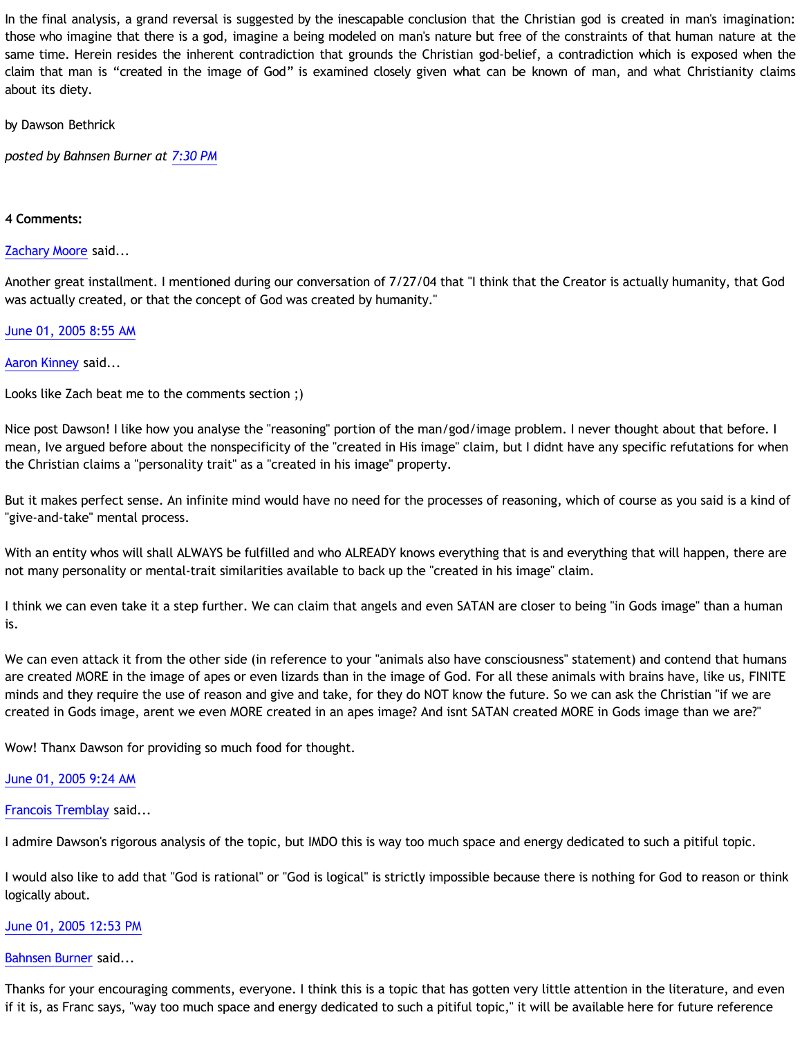In the final analysis, a grand reversal is suggested by the inescapable conclusion that the Christian god is created in man's imagination: those who imagine that there is a god, imagine a being modeled on man's nature but free of the constraints of that human nature at the same time. Herein resides the inherent contradiction that grounds the Christian god-belief, a contradiction which is exposed when the claim that man is "created in the image of God" is examined closely given what can be known of man, and what Christianity claims about its diety.

by Dawson Bethrick

*posted by Bahnsen Burner at [7:30 PM](http://bahnsenburner.blogspot.com/2005/05/is-man-created-in-image-of-god.html)*

### **4 Comments:**

### [Zachary Moore](http://www.blogger.com/profile/7564330) said...

Another great installment. I mentioned during our conversation of 7/27/04 that "I think that the Creator is actually humanity, that God was actually created, or that the concept of God was created by humanity."

### [June 01, 2005 8:55 AM](http://bahnsenburner.blogspot.com/2005/05/111764133978476291)

### [Aaron Kinney](http://www.blogger.com/profile/8138664) said...

Looks like Zach beat me to the comments section ;)

Nice post Dawson! I like how you analyse the "reasoning" portion of the man/god/image problem. I never thought about that before. I mean, Ive argued before about the nonspecificity of the "created in His image" claim, but I didnt have any specific refutations for when the Christian claims a "personality trait" as a "created in his image" property.

But it makes perfect sense. An infinite mind would have no need for the processes of reasoning, which of course as you said is a kind of "give-and-take" mental process.

With an entity whos will shall ALWAYS be fulfilled and who ALREADY knows everything that is and everything that will happen, there are not many personality or mental-trait similarities available to back up the "created in his image" claim.

I think we can even take it a step further. We can claim that angels and even SATAN are closer to being "in Gods image" than a human is.

We can even attack it from the other side (in reference to your "animals also have consciousness" statement) and contend that humans are created MORE in the image of apes or even lizards than in the image of God. For all these animals with brains have, like us, FINITE minds and they require the use of reason and give and take, for they do NOT know the future. So we can ask the Christian "if we are created in Gods image, arent we even MORE created in an apes image? And isnt SATAN created MORE in Gods image than we are?"

Wow! Thanx Dawson for providing so much food for thought.

# [June 01, 2005 9:24 AM](http://bahnsenburner.blogspot.com/2005/05/111764304441044383)

### [Francois Tremblay](http://www.blogger.com/profile/7715861) said...

I admire Dawson's rigorous analysis of the topic, but IMDO this is way too much space and energy dedicated to such a pitiful topic.

I would also like to add that "God is rational" or "God is logical" is strictly impossible because there is nothing for God to reason or think logically about.

### [June 01, 2005 12:53 PM](http://bahnsenburner.blogspot.com/2005/05/111765562781068434)

### [Bahnsen Burner](http://www.blogger.com/profile/7766918) said...

Thanks for your encouraging comments, everyone. I think this is a topic that has gotten very little attention in the literature, and even if it is, as Franc says, "way too much space and energy dedicated to such a pitiful topic," it will be available here for future reference